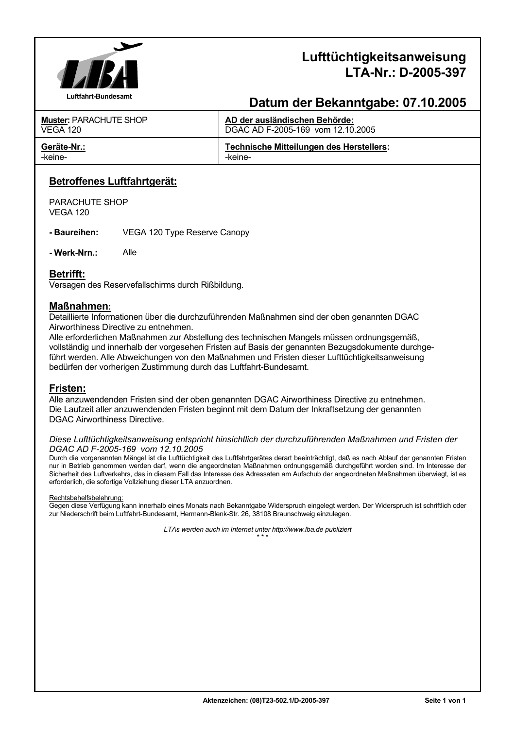

# **Lufttüchtigkeitsanweisung LTA-Nr.: D-2005-397**

# **Datum der Bekanntgabe: 07.10.2005**

| <b>Muster: PARACHUTE SHOP</b> | AD der ausländischen Behörde:                   |
|-------------------------------|-------------------------------------------------|
| <b>VEGA 120</b>               | DGAC AD F-2005-169 vom 12.10.2005               |
| Geräte-Nr.:                   | <b>Technische Mitteilungen des Herstellers:</b> |
| -keine-                       | -keine-                                         |

# **Betroffenes Luftfahrtgerät:**

PARACHUTE SHOP VEGA 120

**- Baureihen:** VEGA 120 Type Reserve Canopy

**- Werk-Nrn.:** Alle

## **Betrifft:**

Versagen des Reservefallschirms durch Rißbildung.

## **Maßnahmen:**

Detaillierte Informationen über die durchzuführenden Maßnahmen sind der oben genannten DGAC Airworthiness Directive zu entnehmen.

Alle erforderlichen Maßnahmen zur Abstellung des technischen Mangels müssen ordnungsgemäß, vollständig und innerhalb der vorgesehen Fristen auf Basis der genannten Bezugsdokumente durchgeführt werden. Alle Abweichungen von den Maßnahmen und Fristen dieser Lufttüchtigkeitsanweisung bedürfen der vorherigen Zustimmung durch das Luftfahrt-Bundesamt.

### **Fristen:**

Alle anzuwendenden Fristen sind der oben genannten DGAC Airworthiness Directive zu entnehmen. Die Laufzeit aller anzuwendenden Fristen beginnt mit dem Datum der Inkraftsetzung der genannten DGAC Airworthiness Directive.

#### *Diese Lufttüchtigkeitsanweisung entspricht hinsichtlich der durchzuführenden Maßnahmen und Fristen der DGAC AD F-2005-169 vom 12.10.2005*

Durch die vorgenannten Mängel ist die Lufttüchtigkeit des Luftfahrtgerätes derart beeinträchtigt, daß es nach Ablauf der genannten Fristen nur in Betrieb genommen werden darf, wenn die angeordneten Maßnahmen ordnungsgemäß durchgeführt worden sind. Im Interesse der Sicherheit des Luftverkehrs, das in diesem Fall das Interesse des Adressaten am Aufschub der angeordneten Maßnahmen überwiegt, ist es erforderlich, die sofortige Vollziehung dieser LTA anzuordnen.

#### Rechtsbehelfsbelehrung:

Gegen diese Verfügung kann innerhalb eines Monats nach Bekanntgabe Widerspruch eingelegt werden. Der Widerspruch ist schriftlich oder zur Niederschrift beim Luftfahrt-Bundesamt, Hermann-Blenk-Str. 26, 38108 Braunschweig einzulegen.

*LTAs werden auch im Internet unter http://www.lba.de publiziert*   $\star \star \star$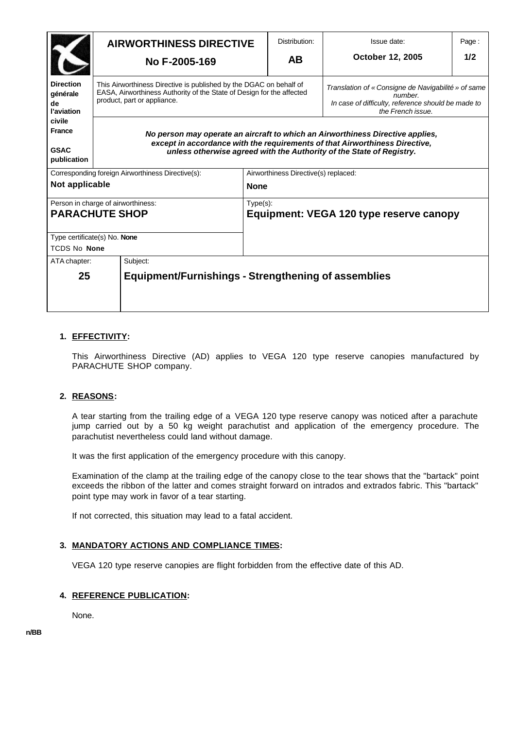|                                                             | <b>AIRWORTHINESS DIRECTIVE</b>                                                                                                                                                                                                        | Distribution:                                          | Issue date:                                                                                                                               | Page: |  |
|-------------------------------------------------------------|---------------------------------------------------------------------------------------------------------------------------------------------------------------------------------------------------------------------------------------|--------------------------------------------------------|-------------------------------------------------------------------------------------------------------------------------------------------|-------|--|
|                                                             | No F-2005-169                                                                                                                                                                                                                         | <b>AB</b>                                              | October 12, 2005                                                                                                                          | 1/2   |  |
| <b>Direction</b><br>générale<br>de<br>l'aviation            | This Airworthiness Directive is published by the DGAC on behalf of<br>EASA, Airworthiness Authority of the State of Design for the affected<br>product, part or appliance.                                                            |                                                        | Translation of « Consigne de Navigabilité » of same<br>number.<br>In case of difficulty, reference should be made to<br>the French issue. |       |  |
| civile<br><b>France</b><br><b>GSAC</b><br>publication       | No person may operate an aircraft to which an Airworthiness Directive applies,<br>except in accordance with the requirements of that Airworthiness Directive,<br>unless otherwise agreed with the Authority of the State of Registry. |                                                        |                                                                                                                                           |       |  |
| Corresponding foreign Airworthiness Directive(s):           |                                                                                                                                                                                                                                       | Airworthiness Directive(s) replaced:                   |                                                                                                                                           |       |  |
| Not applicable<br><b>None</b>                               |                                                                                                                                                                                                                                       |                                                        |                                                                                                                                           |       |  |
| Person in charge of airworthiness:<br><b>PARACHUTE SHOP</b> |                                                                                                                                                                                                                                       | $Type(s)$ :<br>Equipment: VEGA 120 type reserve canopy |                                                                                                                                           |       |  |
| Type certificate(s) No. None                                |                                                                                                                                                                                                                                       |                                                        |                                                                                                                                           |       |  |
| <b>TCDS No None</b>                                         |                                                                                                                                                                                                                                       |                                                        |                                                                                                                                           |       |  |
| ATA chapter:                                                | Subject:                                                                                                                                                                                                                              |                                                        |                                                                                                                                           |       |  |
| 25                                                          | <b>Equipment/Furnishings - Strengthening of assemblies</b>                                                                                                                                                                            |                                                        |                                                                                                                                           |       |  |

## **1. EFFECTIVITY:**

This Airworthiness Directive (AD) applies to VEGA 120 type reserve canopies manufactured by PARACHUTE SHOP company.

#### **2. REASONS:**

A tear starting from the trailing edge of a VEGA 120 type reserve canopy was noticed after a parachute jump carried out by a 50 kg weight parachutist and application of the emergency procedure. The parachutist nevertheless could land without damage.

It was the first application of the emergency procedure with this canopy.

Examination of the clamp at the trailing edge of the canopy close to the tear shows that the "bartack" point exceeds the ribbon of the latter and comes straight forward on intrados and extrados fabric. This "bartack" point type may work in favor of a tear starting.

If not corrected, this situation may lead to a fatal accident.

#### **3. MANDATORY ACTIONS AND COMPLIANCE TIMES:**

VEGA 120 type reserve canopies are flight forbidden from the effective date of this AD.

#### **4. REFERENCE PUBLICATION:**

None.

**n/BB**